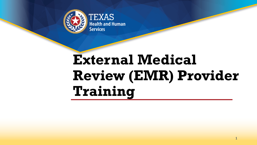

**EXAS Health and Human Services** 

# **External Medical Review (EMR) Provider Training**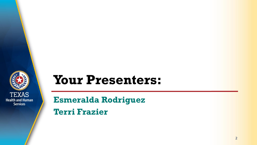

## **Your Presenters:**

**Esmeralda Rodriguez Terri Frazier**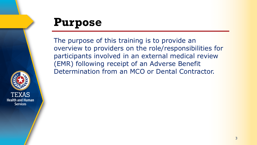

## **Purpose**

The purpose of this training is to provide an overview to providers on the role/responsibilities for participants involved in an external medical review (EMR) following receipt of an Adverse Benefit Determination from an MCO or Dental Contractor.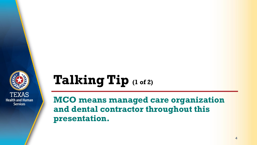

# **Talking Tip (1 of 2)**

**MCO means managed care organization and dental contractor throughout this presentation.**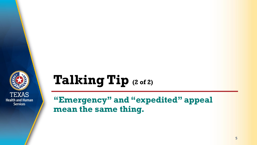

# **Talking Tip (2 of 2)**

### **"Emergency" and "expedited" appeal mean the same thing.**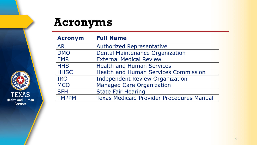## **Acronyms**

| <b>Acronym</b> | <b>Full Name</b>                                 |  |
|----------------|--------------------------------------------------|--|
| <b>AR</b>      | <b>Authorized Representative</b>                 |  |
| <b>DMO</b>     | <b>Dental Maintenance Organization</b>           |  |
| <b>EMR</b>     | <b>External Medical Review</b>                   |  |
| <b>HHS</b>     | <b>Health and Human Services</b>                 |  |
| <b>HHSC</b>    | <b>Health and Human Services Commission</b>      |  |
| <b>IRO</b>     | <b>Independent Review Organization</b>           |  |
| <b>MCO</b>     | <b>Managed Care Organization</b>                 |  |
| <b>SFH</b>     | <b>State Fair Hearing</b>                        |  |
| <b>TMPPM</b>   | <b>Texas Medicaid Provider Procedures Manual</b> |  |

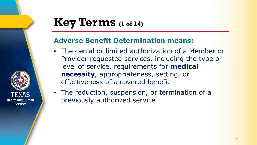## **Key Terms (1 of 14)**

### **Adverse Benefit Determination means:**

- The denial or limited authorization of a Member or Provider requested services, including the type or level of service, requirements for **medical necessity**, appropriateness, setting, or effectiveness of a covered benefit
- The reduction, suspension, or termination of a previously authorized service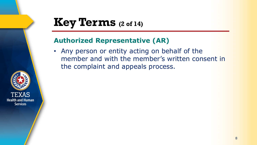## **Key Terms (2 of 14)**

### **Authorized Representative (AR)**

• Any person or entity acting on behalf of the member and with the member's written consent in the complaint and appeals process.

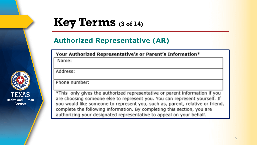## **Key Terms (3 of 14)**

### **Authorized Representative (AR)**

Your Authorized Representative's or Parent's Information\*

Name:

Address:

Phone number:

\*This only gives the authorized representative or parent information if you are choosing someone else to represent you. You can represent yourself. If you would like someone to represent you, such as, parent, relative or friend, complete the following information. By completing this section, you are authorizing your designated representative to appeal on your behalf.

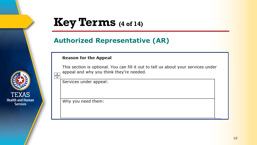## **Key Terms (4 of 14)**

### **Authorized Representative (AR)**

#### **Reason for the Appeal**

This section is optional. You can fill it out to tell us about your services under appeal and why you think they're needed.



 $\overline{\mathbf{t}^+}$ 

Why you need them: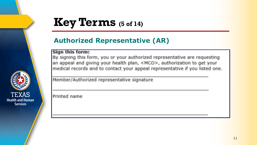## **Key Terms (5 of 14)**

### **Authorized Representative (AR)**

#### Sign this form:

By signing this form, you or your authorized representative are requesting an appeal and giving your health plan, <MCO>, authorization to get your medical records and to contact your appeal representative if you listed one.

Member/Authorized representative signature

Printed name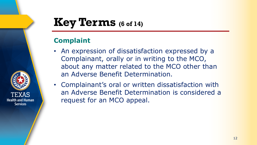## **Key Terms (6 of 14)**

### **Complaint**

- An expression of dissatisfaction expressed by a Complainant, orally or in writing to the MCO, about any matter related to the MCO other than an Adverse Benefit Determination.
- Complainant's oral or written dissatisfaction with an Adverse Benefit Determination is considered a request for an MCO appeal.

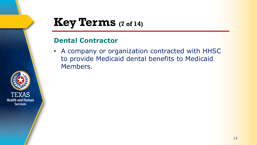## **Key Terms (7 of 14)**

### **Dental Contractor**

• A company or organization contracted with HHSC to provide Medicaid dental benefits to Medicaid Members.

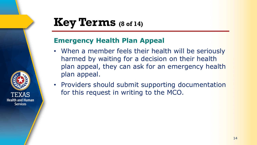## **Key Terms (8 of 14)**

**Health and Human Services** 

### **Emergency Health Plan Appeal**

- When a member feels their health will be seriously harmed by waiting for a decision on their health plan appeal, they can ask for an emergency health plan appeal.
- Providers should submit supporting documentation for this request in writing to the MCO.

14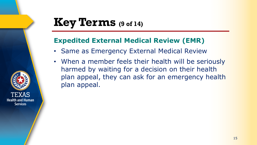## **Key Terms (9 of 14)**

### **Expedited External Medical Review (EMR)**

- Same as Emergency External Medical Review
- When a member feels their health will be seriously harmed by waiting for a decision on their health plan appeal, they can ask for an emergency health plan appeal.

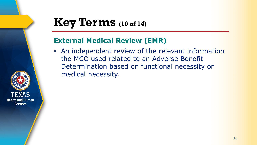## **Key Terms (10 of 14)**

### **External Medical Review (EMR)**

• An independent review of the relevant information the MCO used related to an Adverse Benefit Determination based on functional necessity or medical necessity.

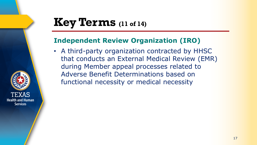## **Key Terms (11 of 14)**

**Health and Human Services** 

### **Independent Review Organization (IRO)**

• A third-party organization contracted by HHSC that conducts an External Medical Review (EMR) during Member appeal processes related to Adverse Benefit Determinations based on functional necessity or medical necessity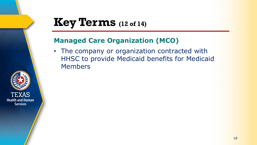## **Key Terms (12 of 14)**

### **Managed Care Organization (MCO)**

• The company or organization contracted with HHSC to provide Medicaid benefits for Medicaid Members

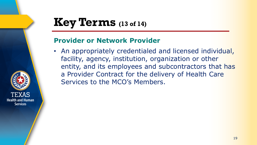## **Key Terms (13 of 14)**

**Health and Human Services** 

### **Provider or Network Provider**

• An appropriately credentialed and licensed individual, facility, agency, institution, organization or other entity, and its employees and subcontractors that has a Provider Contract for the delivery of Health Care Services to the MCO's Members.

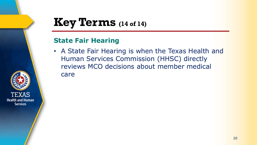## **Key Terms (14 of 14)**

### **State Fair Hearing**

• A State Fair Hearing is when the Texas Health and Human Services Commission (HHSC) directly reviews MCO decisions about member medical care

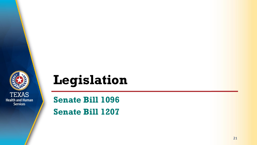

## **Legislation**

**Senate Bill 1096 Senate Bill 1207**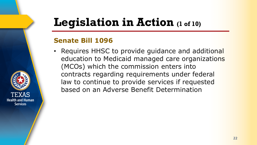## **Legislation in Action (1 of 10)**

### **Senate Bill 1096**

**Health and Human Services** 

• Requires HHSC to provide guidance and additional education to Medicaid managed care organizations (MCOs) which the commission enters into contracts regarding requirements under federal law to continue to provide services if requested based on an Adverse Benefit Determination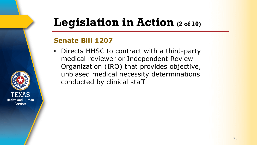## **Legislation in Action (2 of 10)**

### **Senate Bill 1207**

**Health and Human Services** 

• Directs HHSC to contract with a third-party medical reviewer or Independent Review Organization (IRO) that provides objective, unbiased medical necessity determinations conducted by clinical staff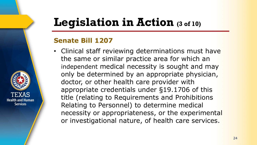## **Legislation in Action (3 of 10)**

### **Senate Bill 1207**

**Health and Human Services** 

• Clinical staff reviewing determinations must have the same or similar practice area for which an independent medical necessity is sought and may only be determined by an appropriate physician, doctor, or other health care provider with appropriate credentials under §19.1706 of this title (relating to Requirements and Prohibitions Relating to Personnel) to determine medical necessity or appropriateness, or the experimental or investigational nature, of health care services.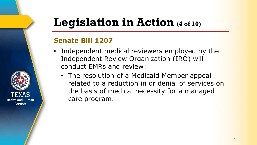## **Legislation in Action (4 of 10)**

### **Senate Bill 1207**

- Independent medical reviewers employed by the Independent Review Organization (IRO) will conduct EMRs and review:
	- The resolution of a Medicaid Member appeal related to a reduction in or denial of services on the basis of medical necessity for a managed care program.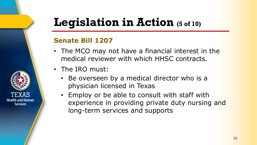## **Legislation in Action (5 of 10)**

### **Senate Bill 1207**

- The MCO may not have a financial interest in the medical reviewer with which HHSC contracts.
- The IRO must:

- Be overseen by a medical director who is a physician licensed in Texas
- Employ or be able to consult with staff with experience in providing private duty nursing and long-term services and supports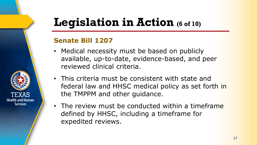## **Legislation in Action (6 of 10)**

### **Senate Bill 1207**

- Medical necessity must be based on publicly available, up-to-date, evidence-based, and peer reviewed clinical criteria.
- This criteria must be consistent with state and federal law and HHSC medical policy as set forth in the TMPPM and other guidance.
- The review must be conducted within a timeframe defined by HHSC, including a timeframe for expedited reviews.

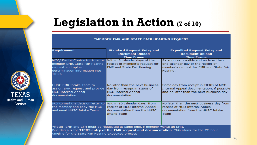## **Legislation in Action (7 of 10)**

#### \*MEMBER EMR AND STATE FAIR HEARING REQUEST

| <b>Requirement</b>                                                                                                                       | <b>Standard Request Entry and</b><br><b>Document Upload</b><br><b>Time Frame</b>                                    | <b>Expedited Request Entry and</b><br><b>Document Upload</b><br><b>Time Frame</b>                                                  |  |
|------------------------------------------------------------------------------------------------------------------------------------------|---------------------------------------------------------------------------------------------------------------------|------------------------------------------------------------------------------------------------------------------------------------|--|
| MCO/ Dental Contractor to enter<br>member EMR/State Fair Hearing<br>request and upload<br>determination information into<br><b>TIERS</b> | Within 3 calendar days of the<br>receipt of member's request for<br>EMR and State Fair Hearing                      | As soon as possible and no later than<br>one calendar day of the receipt of<br>member's request for EMR and State Fair<br>Hearing. |  |
| <b>HHSC EMR Intake Team to</b><br>assign EMR request and provide<br><b>MCO Internal Appeal</b><br>documentation                          | No later than the next business<br>day from receipt in TIERS of<br><b>MCO Internal Appeal</b><br>documentation      | Same day from receipt in TIERS of MCO<br>Internal Appeal documentation, if possible<br>and no later than the next business day     |  |
| IRO to mail the decision letter to<br>the member and copy the MCO<br>and email HHSC Intake Team                                          | Within 10 calendar days from<br>receipt of MCO Internal Appeal<br>documentation from the HHSC<br><b>Intake Team</b> | No later than the next business day from<br>receipt of MCO Internal Appeal<br>documentation from the HHSC Intake<br>Team           |  |
| *Note: EMR and SFH must be requested at same time, if member wants an EMR.                                                               |                                                                                                                     |                                                                                                                                    |  |

Due dates is for TIERS entry of the EMR request and documentation. This allows for the 72-hour timeline for the State Fair Hearing expedited process

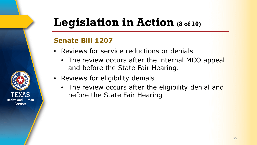## **Legislation in Action (8 of 10)**

### **Senate Bill 1207**

- Reviews for service reductions or denials
	- The review occurs after the internal MCO appeal and before the State Fair Hearing.
- Reviews for eligibility denials
	- The review occurs after the eligibility denial and before the State Fair Hearing

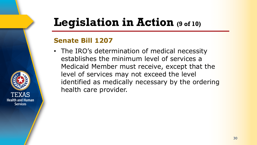## **Legislation in Action (9 of 10)**

### **Senate Bill 1207**

**Health and Human Services** 

• The IRO's determination of medical necessity establishes the minimum level of services a Medicaid Member must receive, except that the level of services may not exceed the level identified as medically necessary by the ordering health care provider.

30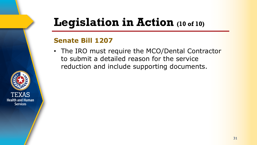## **Legislation in Action (10 of 10)**

### **Senate Bill 1207**

• The IRO must require the MCO/Dental Contractor to submit a detailed reason for the service reduction and include supporting documents.

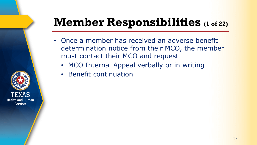## **Member Responsibilities (1 of 22)**

- Once a member has received an adverse benefit determination notice from their MCO, the member must contact their MCO and request
	- MCO Internal Appeal verbally or in writing
	- Benefit continuation

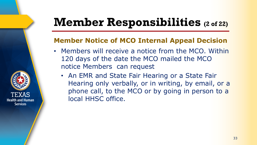## **Member Responsibilities (2 of 22)**

### **Member Notice of MCO Internal Appeal Decision**

- Members will receive a notice from the MCO. Within 120 days of the date the MCO mailed the MCO notice Members can request
	- An EMR and State Fair Hearing or a State Fair Hearing only verbally, or in writing, by email, or a phone call, to the MCO or by going in person to a local HHSC office.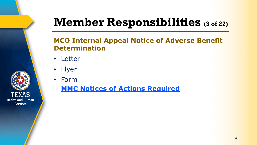## **Member Responsibilities (3 of 22)**

### **MCO Internal Appeal Notice of Adverse Benefit Determination**

- Letter
- Flyer
- Form

### **[MMC Notices of Actions Required](https://www.hhs.texas.gov/sites/default/files/documents/laws-regulations/handbooks/umcm/3_21.pdf)**

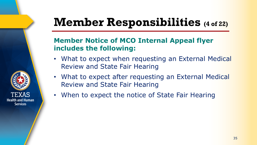## **Member Responsibilities (4 of 22)**

### **Member Notice of MCO Internal Appeal flyer includes the following:**

- What to expect when requesting an External Medical Review and State Fair Hearing
- What to expect after requesting an External Medical Review and State Fair Hearing
- When to expect the notice of State Fair Hearing

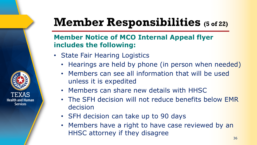## **Member Responsibilities (5 of 22)**

### **Member Notice of MCO Internal Appeal flyer includes the following:**

• State Fair Hearing Logistics

- Hearings are held by phone (in person when needed)
- Members can see all information that will be used unless it is expedited
- Members can share new details with HHSC
- The SFH decision will not reduce benefits below EMR decision
- SFH decision can take up to 90 days
- Members have a right to have case reviewed by an HHSC attorney if they disagree 36

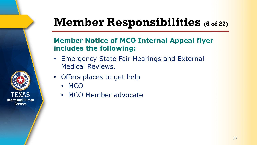# **Member Responsibilities (6 of 22)**

#### **Member Notice of MCO Internal Appeal flyer includes the following:**

- Emergency State Fair Hearings and External Medical Reviews.
- Offers places to get help
	- MCO
	- MCO Member advocate

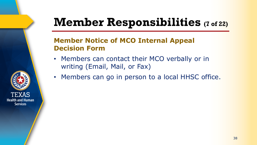### **Member Responsibilities (7 of 22)**

#### **Member Notice of MCO Internal Appeal Decision Form**

- Members can contact their MCO verbally or in writing (Email, Mail, or Fax)
- Members can go in person to a local HHSC office.

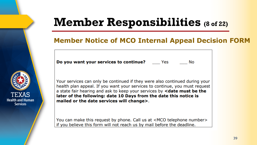### **Member Responsibilities (8 of 22)**

#### **Member Notice of MCO Internal Appeal Decision FORM**

**Do you want your services to continue?** Mes

**No** 

TEXAS **Health and Human Services** 

Your services can only be continued if they were also continued during your health plan appeal. If you want your services to continue, you must request a state fair hearing and ask to keep your services by <date must be the later of the following: date 10 Days from the date this notice is mailed or the date services will change>.

You can make this request by phone. Call us at <MCO telephone number> if you believe this form will not reach us by mail before the deadline.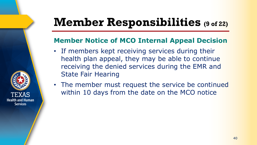### **Member Responsibilities (9 of 22)**

#### **Member Notice of MCO Internal Appeal Decision**

- If members kept receiving services during their health plan appeal, they may be able to continue receiving the denied services during the EMR and State Fair Hearing
- The member must request the service be continued within 10 days from the date on the MCO notice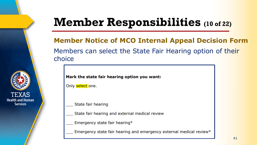### **Member Responsibilities (10 of 22)**

**Member Notice of MCO Internal Appeal Decision Form**  Members can select the State Fair Hearing option of their choice

#### Mark the state fair hearing option you want:

Only select one.

State fair hearing

- State fair hearing and external medical review
- Emergency state fair hearing\*
- Emergency state fair hearing and emergency external medical review\*

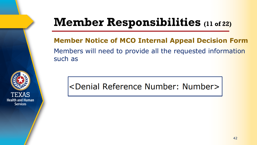### **Member Responsibilities (11 of 22)**

**Member Notice of MCO Internal Appeal Decision Form**  Members will need to provide all the requested information such as

<Denial Reference Number: Number>

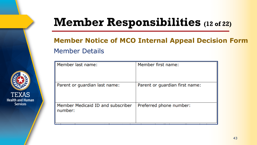### **Member Responsibilities (12 of 22)**

#### **Member Notice of MCO Internal Appeal Decision Form** Member Details



| Member last name:                            | Member first name:             |
|----------------------------------------------|--------------------------------|
| Parent or guardian last name:                | Parent or guardian first name: |
| Member Medicaid ID and subscriber<br>number: | Preferred phone number:        |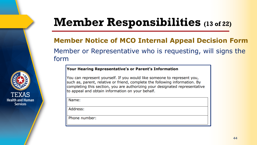### **Member Responsibilities (13 of 22)**

#### **Member Notice of MCO Internal Appeal Decision Form**  Member or Representative who is requesting, will signs the form

#### Your Hearing Representative's or Parent's Information

You can represent yourself. If you would like someone to represent you, such as, parent, relative or friend, complete the following information. By completing this section, you are authorizing your designated representative to appeal and obtain information on your behalf.

Name:

Address:

Phone number:

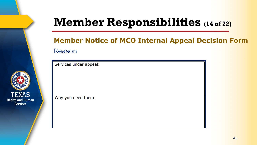### **Member Responsibilities (14 of 22)**

#### **Member Notice of MCO Internal Appeal Decision Form** Reason

Services under appeal: Why you need them:

TEXAS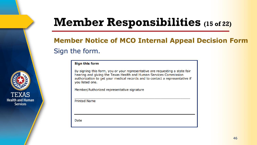### **Member Responsibilities (15 of 22)**

#### **Member Notice of MCO Internal Appeal Decision Form**  Sign the form.

#### **Sign this form**

By signing this form, you or your representative are requesting a state fair hearing and giving the Texas Health and Human Services Commission authorization to get your medical records and to contact a representative if you listed one.

Member/Authorized representative signature

**Printed Name** 

**Date**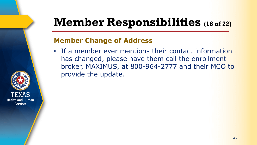### **Member Responsibilities (16 of 22)**

#### **Member Change of Address**

• If a member ever mentions their contact information has changed, please have them call the enrollment broker, MAXIMUS, at 800-964-2777 and their MCO to provide the update.

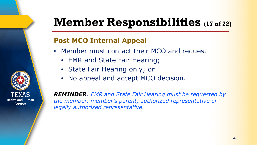### **Member Responsibilities (17 of 22)**

#### **Post MCO Internal Appeal**

- Member must contact their MCO and request
	- EMR and State Fair Hearing;
	- State Fair Hearing only; or
	- No appeal and accept MCO decision.

*REMINDER: EMR and State Fair Hearing must be requested by the member, member's parent, authorized representative or legally authorized representative.* 

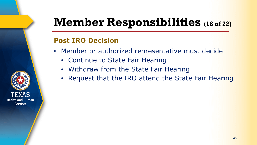### **Member Responsibilities (18 of 22)**

#### **Post IRO Decision**

- Member or authorized representative must decide
	- Continue to State Fair Hearing
	- Withdraw from the State Fair Hearing
	- Request that the IRO attend the State Fair Hearing

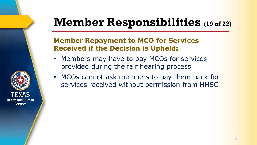### **Member Responsibilities (19 of 22)**

#### **Member Repayment to MCO for Services Received if the Decision is Upheld:**

- Members may have to pay MCOs for services provided during the fair hearing process
- MCOs cannot ask members to pay them back for services received without permission from HHSC

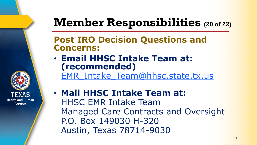### **Member Responsibilities (20 of 22)**

#### **Post IRO Decision Questions and Concerns:**

• **Email HHSC Intake Team at: (recommended)** [EMR\\_Intake\\_Team@hhsc.state.tx.us](mailto:EMR_Intake_Team@hhsc.state.tx.us)

• **Mail HHSC Intake Team at:** HHSC EMR Intake Team Managed Care Contracts and Oversight P.O. Box 149030 H-320 Austin, Texas 78714-9030

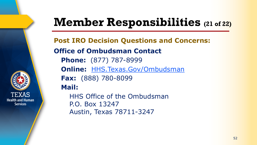### **Member Responsibilities (21 of 22)**

**Post IRO Decision Questions and Concerns: Office of Ombudsman Contact Phone:** (877) 787-8999 **Online:** [HHS.Texas.Gov/Ombudsman](https://hhsportal.hhs.state.tx.us/heartwebextr/hhscOmd) **Fax:** (888) 780-8099 **Mail:** HHS Office of the Ombudsman P.O. Box 13247

Austin, Texas 78711-3247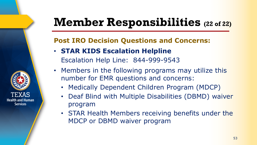### **Member Responsibilities (22 of 22)**

#### **Post IRO Decision Questions and Concerns:**

• **STAR KIDS Escalation Helpline** Escalation Help Line: 844-999-9543

- Members in the following programs may utilize this number for EMR questions and concerns:
	- Medically Dependent Children Program (MDCP)
	- Deaf Blind with Multiple Disabilities (DBMD) waiver program
	- STAR Health Members receiving benefits under the MDCP or DBMD waiver program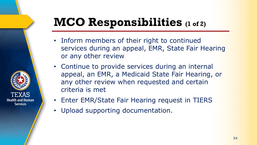# **MCO Responsibilities (1 of 2)**

- Inform members of their right to continued services during an appeal, EMR, State Fair Hearing or any other review
- Continue to provide services during an internal appeal, an EMR, a Medicaid State Fair Hearing, or any other review when requested and certain criteria is met
- Enter EMR/State Fair Hearing request in TIERS
- Upload supporting documentation.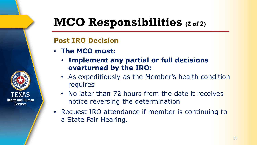### **MCO Responsibilities (2 of 2)**

#### **Post IRO Decision**

• **The MCO must:**

- **Implement any partial or full decisions overturned by the IRO:**
- As expeditiously as the Member's health condition requires
- No later than 72 hours from the date it receives notice reversing the determination
- Request IRO attendance if member is continuing to a State Fair Hearing.

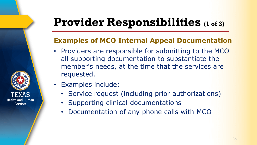# **Provider Responsibilities (1 of 3)**

#### **Examples of MCO Internal Appeal Documentation**

- Providers are responsible for submitting to the MCO all supporting documentation to substantiate the member's needs, at the time that the services are requested.
- Examples include:
	- Service request (including prior authorizations)
	- Supporting clinical documentations
	- Documentation of any phone calls with MCO

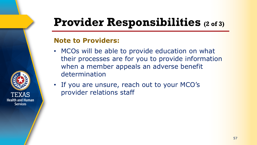# **Provider Responsibilities (2 of 3)**

#### **Note to Providers:**

- MCOs will be able to provide education on what their processes are for you to provide information when a member appeals an adverse benefit determination
- If you are unsure, reach out to your MCO's provider relations staff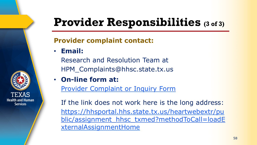# **Provider Responsibilities (3 of 3)**

#### **Provider complaint contact:**

• **Email:**

**Health and Human Services** 

Research and Resolution Team at HPM\_Complaints@hhsc.state.tx.us

• **On-line form at:**

[Provider Complaint or Inquiry Form](https://hhsportal.hhs.state.tx.us/heartwebextr/public/assignment_hhsc_txmed?methodToCall=loadExternalAssignmentHome)

If the link does not work here is the long address: https://hhsportal.hhs.state.tx.us/heartwebextr/pu [blic/assignment\\_hhsc\\_txmed?methodToCall=loadE](https://hhsportal.hhs.state.tx.us/heartwebextr/public/assignment_hhsc_txmed?methodToCall=loadExternalAssignmentHome) xternalAssignmentHome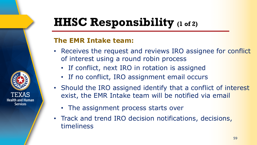### **HHSC Responsibility (1 of 2)**

#### **The EMR Intake team:**

- Receives the request and reviews IRO assignee for conflict of interest using a round robin process
	- If conflict, next IRO in rotation is assigned
	- If no conflict, IRO assignment email occurs
- Should the IRO assigned identify that a conflict of interest exist, the EMR Intake team will be notified via email
	- The assignment process starts over
- Track and trend IRO decision notifications, decisions, timeliness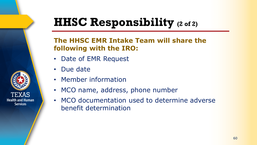### **HHSC Responsibility (2 of 2)**

#### **The HHSC EMR Intake Team will share the following with the IRO:**

- Date of EMR Request
- Due date
- Member information
- MCO name, address, phone number
- MCO documentation used to determine adverse benefit determination

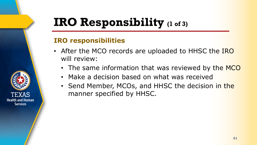### **IRO Responsibility (1 of 3)**

#### **IRO responsibilities**

- After the MCO records are uploaded to HHSC the IRO will review:
	- The same information that was reviewed by the MCO
	- Make a decision based on what was received
	- Send Member, MCOs, and HHSC the decision in the manner specified by HHSC.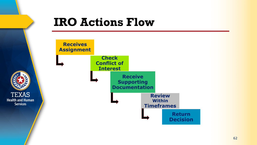

#### **IRO Actions Flow**

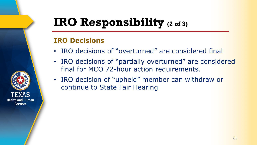### **IRO Responsibility (2 of 3)**

#### **IRO Decisions**

- IRO decisions of "overturned" are considered final
- IRO decisions of "partially overturned" are considered final for MCO 72-hour action requirements.
- IRO decision of "upheld" member can withdraw or continue to State Fair Hearing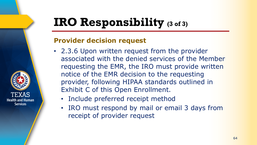### **IRO Responsibility (3 of 3)**

#### **Provider decision request**

- 2.3.6 Upon written request from the provider associated with the denied services of the Member requesting the EMR, the IRO must provide written notice of the EMR decision to the requesting provider, following HIPAA standards outlined in Exhibit C of this Open Enrollment.
	- Include preferred receipt method
	- IRO must respond by mail or email 3 days from receipt of provider request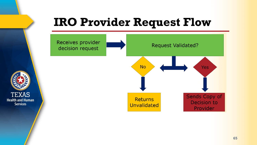# **IRO Provider Request Flow**



**TEXAS** 

**Health and Human** 

**Services**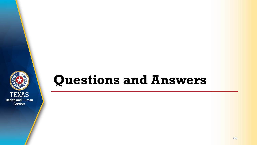

### **Questions and Answers**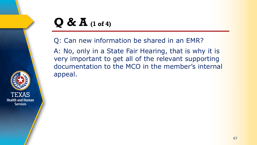### **Q & A (1 of 4)**

Q: Can new information be shared in an EMR?

A: No, only in a State Fair Hearing, that is why it is very important to get all of the relevant supporting documentation to the MCO in the member's internal appeal.

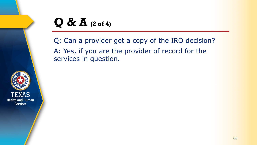

Q: Can a provider get a copy of the IRO decision? A: Yes, if you are the provider of record for the services in question.

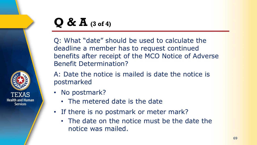

### **Q & A (3 of 4)**

Q: What "date" should be used to calculate the deadline a member has to request continued benefits after receipt of the MCO Notice of Adverse Benefit Determination?

A: Date the notice is mailed is date the notice is postmarked

- No postmark?
	- The metered date is the date
- If there is no postmark or meter mark?
	- The date on the notice must be the date the notice was mailed.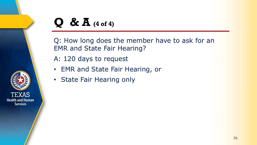### **Q & A (4 of 4)**

TEXAS **Health and Human Services** 

Q: How long does the member have to ask for an EMR and State Fair Hearing?

A: 120 days to request

- EMR and State Fair Hearing, or
- State Fair Hearing only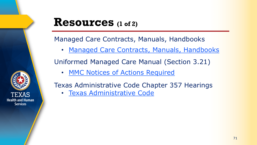

#### **Resources (1 of 2)**

Managed Care Contracts, Manuals, Handbooks

• [Managed Care Contracts, Manuals, Handbooks](https://www.hhs.texas.gov/services/health/medicaid-chip/managed-care-contract-management)

Uniformed Managed Care Manual (Section 3.21)

• [MMC Notices of Actions Required](https://www.hhs.texas.gov/sites/default/files/documents/laws-regulations/handbooks/umcm/3_21.pdf)

Texas Administrative Code Chapter 357 Hearings

• [Texas Administrative Code](https://texreg.sos.state.tx.us/public/readtac$ext.ViewTAC?tac_view=4&ti=1&pt=15&ch=357)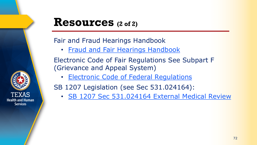# **Health and Human Services**

#### **Resources (2 of 2)**

#### Fair and Fraud Hearings Handbook

• [Fraud and Fair Hearings Handbook](https://hhs.texas.gov/laws-regulations/handbooks/ffhh/section-1000-fair-hearings)

Electronic Code of Fair Regulations See Subpart F (Grievance and Appeal System)

**[Electronic Code of Federal Regulations](https://www.ecfr.gov/cgi-bin/text-idx?SID=d770177deecff4b6d7a9c2b9a2b02459&mc=true&node=pt42.4.431&rgn=div5#sp42.4.431.e)** 

SB 1207 Legislation (see Sec 531.024164):

• [SB 1207 Sec 531.024164 External Medical Review](https://capitol.texas.gov/tlodocs/86R/billtext/html/SB01207F.htm)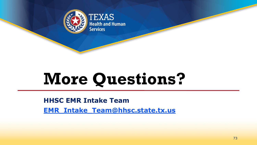

**TEXAS Health and Human Services** 

## **More Questions?**

**HHSC EMR Intake Team [EMR\\_Intake\\_Team@hhsc.state.tx.us](mailto:EMR_Intake_Team@hhsc.state.tx.us)**